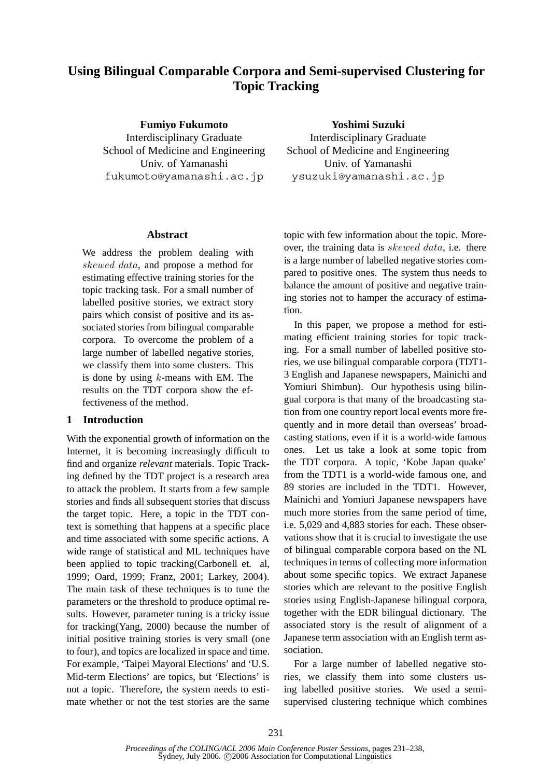# **Using Bilingual Comparable Corpora and Semi-supervised Clustering for Topic Tracking**

**Fumiyo Fukumoto**

Interdisciplinary Graduate School of Medicine and Engineering Univ. of Yamanashi fukumoto@yamanashi.ac.jp

# **Abstract**

We address the problem dealing with skewed data, and propose a method for estimating effective training stories for the topic tracking task. For a small number of labelled positive stories, we extract story pairs which consist of positive and its associated stories from bilingual comparable corpora. To overcome the problem of a large number of labelled negative stories, we classify them into some clusters. This is done by using  $k$ -means with EM. The results on the TDT corpora show the effectiveness of the method.

# **1 Introduction**

With the exponential growth of information on the Internet, it is becoming increasingly difficult to find and organize *relevant* materials. Topic Tracking defined by the TDT project is a research area to attack the problem. It starts from a few sample stories and finds all subsequent stories that discuss the target topic. Here, a topic in the TDT context is something that happens at a specific place and time associated with some specific actions. A wide range of statistical and ML techniques have been applied to topic tracking(Carbonell et. al, 1999; Oard, 1999; Franz, 2001; Larkey, 2004). The main task of these techniques is to tune the parameters or the threshold to produce optimal results. However, parameter tuning is a tricky issue for tracking(Yang, 2000) because the number of initial positive training stories is very small (one to four), and topics are localized in space and time. For example, 'Taipei Mayoral Elections' and 'U.S. Mid-term Elections' are topics, but 'Elections' is not a topic. Therefore, the system needs to estimate whether or not the test stories are the same

**Yoshimi Suzuki** Interdisciplinary Graduate School of Medicine and Engineering Univ. of Yamanashi ysuzuki@yamanashi.ac.jp

topic with few information about the topic. Moreover, the training data is skewed data, i.e. there is a large number of labelled negative stories compared to positive ones. The system thus needs to balance the amount of positive and negative training stories not to hamper the accuracy of estimation.

In this paper, we propose a method for estimating efficient training stories for topic tracking. For a small number of labelled positive stories, we use bilingual comparable corpora (TDT1- 3 English and Japanese newspapers, Mainichi and Yomiuri Shimbun). Our hypothesis using bilingual corpora is that many of the broadcasting station from one country report local events more frequently and in more detail than overseas' broadcasting stations, even if it is a world-wide famous ones. Let us take a look at some topic from the TDT corpora. A topic, 'Kobe Japan quake' from the TDT1 is a world-wide famous one, and 89 stories are included in the TDT1. However, Mainichi and Yomiuri Japanese newspapers have much more stories from the same period of time, i.e. 5,029 and 4,883 stories for each. These observations show that it is crucial to investigate the use of bilingual comparable corpora based on the NL techniques in terms of collecting more information about some specific topics. We extract Japanese stories which are relevant to the positive English stories using English-Japanese bilingual corpora, together with the EDR bilingual dictionary. The associated story is the result of alignment of a Japanese term association with an English term association.

For a large number of labelled negative stories, we classify them into some clusters using labelled positive stories. We used a semisupervised clustering technique which combines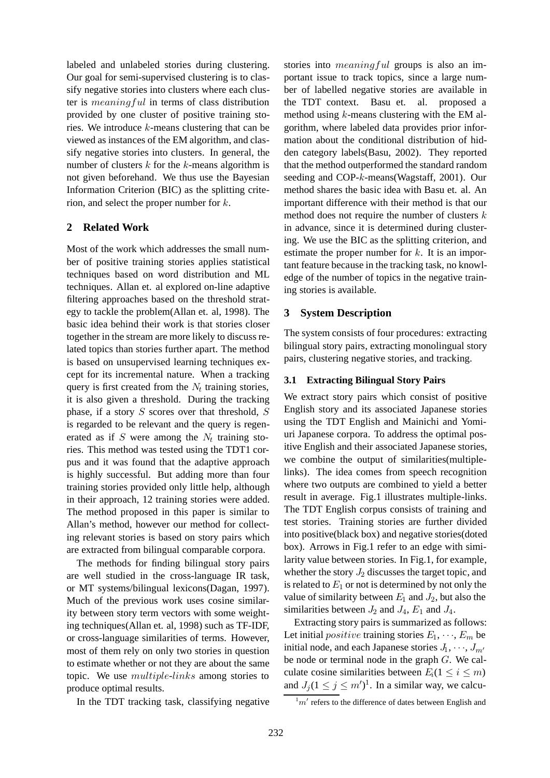labeled and unlabeled stories during clustering. Our goal for semi-supervised clustering is to classify negative stories into clusters where each cluster is meaningful in terms of class distribution provided by one cluster of positive training stories. We introduce k-means clustering that can be viewed as instances of the EM algorithm, and classify negative stories into clusters. In general, the number of clusters  $k$  for the  $k$ -means algorithm is not given beforehand. We thus use the Bayesian Information Criterion (BIC) as the splitting criterion, and select the proper number for k.

# **2 Related Work**

Most of the work which addresses the small number of positive training stories applies statistical techniques based on word distribution and ML techniques. Allan et. al explored on-line adaptive filtering approaches based on the threshold strategy to tackle the problem(Allan et. al, 1998). The basic idea behind their work is that stories closer together in the stream are more likely to discuss related topics than stories further apart. The method is based on unsupervised learning techniques except for its incremental nature. When a tracking query is first created from the  $N_t$  training stories, it is also given a threshold. During the tracking phase, if a story  $S$  scores over that threshold,  $S$ is regarded to be relevant and the query is regenerated as if  $S$  were among the  $N_t$  training stories. This method was tested using the TDT1 corpus and it was found that the adaptive approach is highly successful. But adding more than four training stories provided only little help, although in their approach, 12 training stories were added. The method proposed in this paper is similar to Allan's method, however our method for collecting relevant stories is based on story pairs which are extracted from bilingual comparable corpora.

The methods for finding bilingual story pairs are well studied in the cross-language IR task, or MT systems/bilingual lexicons(Dagan, 1997). Much of the previous work uses cosine similarity between story term vectors with some weighting techniques(Allan et. al, 1998) such as TF-IDF, or cross-language similarities of terms. However, most of them rely on only two stories in question to estimate whether or not they are about the same topic. We use multiple-links among stories to produce optimal results.

In the TDT tracking task, classifying negative

stories into *meaningful* groups is also an important issue to track topics, since a large number of labelled negative stories are available in the TDT context. Basu et. al. proposed a method using  $k$ -means clustering with the EM algorithm, where labeled data provides prior information about the conditional distribution of hidden category labels(Basu, 2002). They reported that the method outperformed the standard random seeding and COP-k-means(Wagstaff, 2001). Our method shares the basic idea with Basu et. al. An important difference with their method is that our method does not require the number of clusters  $k$ in advance, since it is determined during clustering. We use the BIC as the splitting criterion, and estimate the proper number for  $k$ . It is an important feature because in the tracking task, no knowledge of the number of topics in the negative training stories is available.

# **3 System Description**

The system consists of four procedures: extracting bilingual story pairs, extracting monolingual story pairs, clustering negative stories, and tracking.

# **3.1 Extracting Bilingual Story Pairs**

We extract story pairs which consist of positive English story and its associated Japanese stories using the TDT English and Mainichi and Yomiuri Japanese corpora. To address the optimal positive English and their associated Japanese stories, we combine the output of similarities(multiplelinks). The idea comes from speech recognition where two outputs are combined to yield a better result in average. Fig.1 illustrates multiple-links. The TDT English corpus consists of training and test stories. Training stories are further divided into positive(black box) and negative stories(doted box). Arrows in Fig.1 refer to an edge with similarity value between stories. In Fig.1, for example, whether the story  $J_2$  discusses the target topic, and is related to  $E_1$  or not is determined by not only the value of similarity between  $E_1$  and  $J_2$ , but also the similarities between  $J_2$  and  $J_4$ ,  $E_1$  and  $J_4$ .

Extracting story pairs is summarized as follows: Let initial *positive* training stories  $E_1, \dots, E_m$  be initial node, and each Japanese stories  $J_1, \dots, J_{m'}$ be node or terminal node in the graph G. We calculate cosine similarities between  $E_i(1 \leq i \leq m)$ and  $J_j (1 \le j \le m')^1$ . In a similar way, we calcu-

 $\frac{1}{m'}$  refers to the difference of dates between English and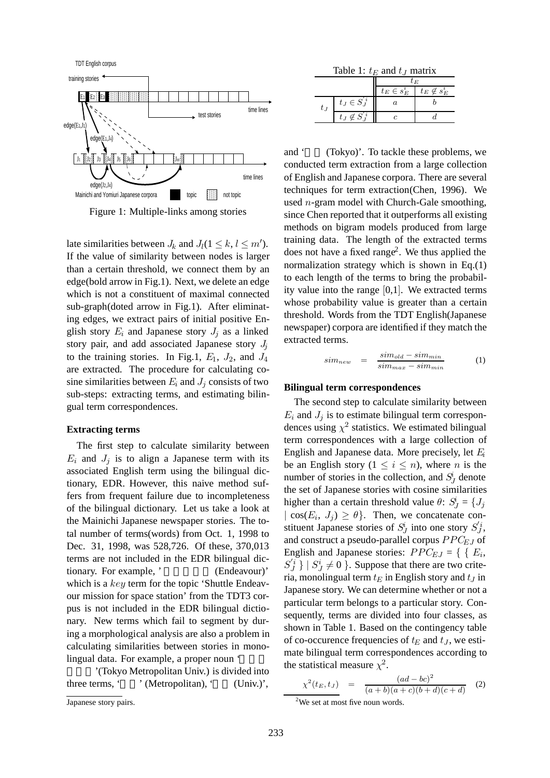

Figure 1: Multiple-links among stories

late similarities between  $J_k$  and  $J_l$  ( $1 \leq k, l \leq m'$ ). If the value of similarity between nodes is larger than a certain threshold, we connect them by an edge(bold arrow in Fig.1). Next, we delete an edge which is not a constituent of maximal connected sub-graph(doted arrow in Fig.1). After eliminating edges, we extract pairs of initial positive English story  $E_i$  and Japanese story  $J_i$  as a linked story pair, and add associated Japanese story  $J_i$ to the training stories. In Fig.1,  $E_1$ ,  $J_2$ , and  $J_4$ are extracted. The procedure for calculating cosine similarities between  $E_i$  and  $J_j$  consists of two sub-steps: extracting terms, and estimating bilingual term correspondences.

### **Extracting terms**

The first step to calculate similarity between  $E_i$  and  $J_j$  is to align a Japanese term with its associated English term using the bilingual dictionary, EDR. However, this naive method suffers from frequent failure due to incompleteness of the bilingual dictionary. Let us take a look at the Mainichi Japanese newspaper stories. The total number of terms(words) from Oct. 1, 1998 to Dec. 31, 1998, was 528,726. Of these, 370,013 terms are not included in the EDR bilingual dictionary. For example, ' (Endeavour)' which is a key term for the topic 'Shuttle Endeavour mission for space station' from the TDT3 corpus is not included in the EDR bilingual dictionary. New terms which fail to segment by during a morphological analysis are also a problem in calculating similarities between stories in monolingual data. For example, a proper noun '

'(Tokyo Metropolitan Univ.) is divided into three terms, ' $\cdot$ ' (Metropolitan), ' (Univ.)',

Table 1:  $t_E$  and  $t_J$  matrix

|      |                    | t Е             |                     |  |  |  |
|------|--------------------|-----------------|---------------------|--|--|--|
|      |                    | $t_E \in s_E^i$ | $t_E \not\in s_E^i$ |  |  |  |
| t .j | $t_J \in S_J^{'i}$ |                 |                     |  |  |  |
|      | t j                |                 |                     |  |  |  |

and ' $(Tokyo)'$ . To tackle these problems, we conducted term extraction from a large collection of English and Japanese corpora. There are several techniques for term extraction(Chen, 1996). We used n-gram model with Church-Gale smoothing, since Chen reported that it outperforms all existing methods on bigram models produced from large training data. The length of the extracted terms does not have a fixed range<sup>2</sup>. We thus applied the normalization strategy which is shown in Eq.(1) to each length of the terms to bring the probability value into the range [0,1]. We extracted terms whose probability value is greater than a certain threshold. Words from the TDT English(Japanese newspaper) corpora are identified if they match the extracted terms.

$$
sim_{new} = \frac{sim_{old} - sim_{min}}{sim_{max} - sim_{min}} \tag{1}
$$

#### **Bilingual term correspondences**

The second step to calculate similarity between  $E_i$  and  $J_j$  is to estimate bilingual term correspondences using  $\chi^2$  statistics. We estimated bilingual term correspondences with a large collection of English and Japanese data. More precisely, let E*<sup>i</sup>* be an English story  $(1 \leq i \leq n)$ , where *n* is the number of stories in the collection, and  $S^i_J$  denote the set of Japanese stories with cosine similarities higher than a certain threshold value  $\theta$ :  $S^i_J = \{J_j\}$  $| \cos(E_i, J_i) \geq \theta$ . Then, we concatenate constituent Japanese stories of  $S^i_J$  into one story  $S^i_J$ , and construct a pseudo-parallel corpus PPC*EJ* of English and Japanese stories:  $PPC_{EJ} = \{ \{ E_i,$  $S_j^i$  }  $| S_j^i \neq 0$  }. Suppose that there are two crite-<br>ria monolingual term to in English story and ty in ria, monolingual term  $t_E$  in English story and  $t_J$  in Japanese story. We can determine whether or not a particular term belongs to a particular story. Consequently, terms are divided into four classes, as shown in Table 1. Based on the contingency table of co-occurence frequencies of  $t_E$  and  $t_J$ , we estimate bilingual term correspondences according to the statistical measure  $\chi^2$ .

$$
\chi^2(t_E, t_J) = \frac{(ad - bc)^2}{(a+b)(a+c)(b+d)(c+d)}
$$
 (2)

We set at most five noun words.

Japanese story pairs.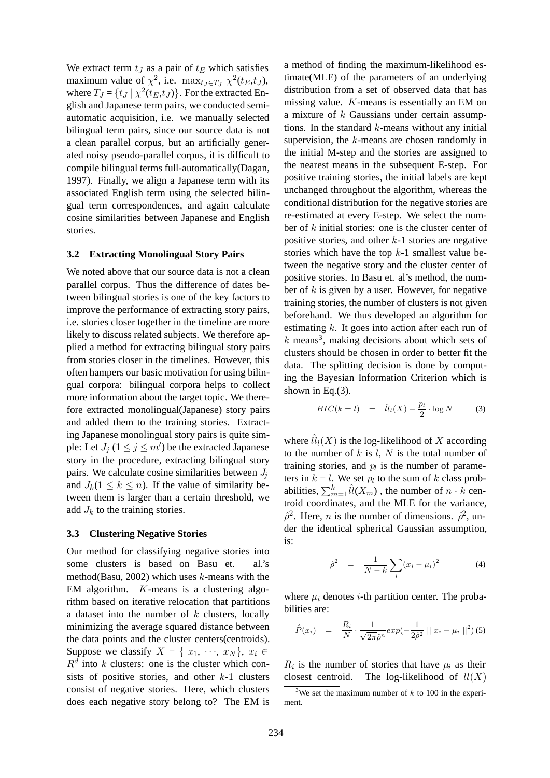We extract term  $t_J$  as a pair of  $t_E$  which satisfies maximum value of  $\chi^2$ , i.e. max<sub>*t<sub>J</sub>*∈*T<sub>J</sub>*  $\chi^2(t_E, t_J)$ ,</sub> where  $T_J = \{t_J | \chi^2(t_E, t_J)\}\.$  For the extracted English and Japanese term pairs, we conducted semiautomatic acquisition, i.e. we manually selected bilingual term pairs, since our source data is not a clean parallel corpus, but an artificially generated noisy pseudo-parallel corpus, it is difficult to compile bilingual terms full-automatically(Dagan, 1997). Finally, we align a Japanese term with its associated English term using the selected bilingual term correspondences, and again calculate cosine similarities between Japanese and English stories.

#### **3.2 Extracting Monolingual Story Pairs**

We noted above that our source data is not a clean parallel corpus. Thus the difference of dates between bilingual stories is one of the key factors to improve the performance of extracting story pairs, i.e. stories closer together in the timeline are more likely to discuss related subjects. We therefore applied a method for extracting bilingual story pairs from stories closer in the timelines. However, this often hampers our basic motivation for using bilingual corpora: bilingual corpora helps to collect more information about the target topic. We therefore extracted monolingual(Japanese) story pairs and added them to the training stories. Extracting Japanese monolingual story pairs is quite simple: Let  $J_j$   $(1 \leq j \leq m')$  be the extracted Japanese story in the procedure, extracting bilingual story pairs. We calculate cosine similarities between J*<sup>j</sup>* and  $J_k$ ( $1 \leq k \leq n$ ). If the value of similarity between them is larger than a certain threshold, we add  $J_k$  to the training stories.

#### **3.3 Clustering Negative Stories**

Our method for classifying negative stories into some clusters is based on Basu et. al.'s method(Basu, 2002) which uses  $k$ -means with the EM algorithm. K-means is a clustering algorithm based on iterative relocation that partitions a dataset into the number of  $k$  clusters, locally minimizing the average squared distance between the data points and the cluster centers(centroids). Suppose we classify  $X = \{x_1, \dots, x_N\}, x_i \in$  $R^d$  into k clusters: one is the cluster which consists of positive stories, and other  $k-1$  clusters consist of negative stories. Here, which clusters does each negative story belong to? The EM is

a method of finding the maximum-likelihood estimate(MLE) of the parameters of an underlying distribution from a set of observed data that has missing value. K-means is essentially an EM on a mixture of  $k$  Gaussians under certain assumptions. In the standard  $k$ -means without any initial supervision, the  $k$ -means are chosen randomly in the initial M-step and the stories are assigned to the nearest means in the subsequent E-step. For positive training stories, the initial labels are kept unchanged throughout the algorithm, whereas the conditional distribution for the negative stories are re-estimated at every E-step. We select the number of  $k$  initial stories: one is the cluster center of positive stories, and other  $k-1$  stories are negative stories which have the top  $k-1$  smallest value between the negative story and the cluster center of positive stories. In Basu et. al's method, the number of  $k$  is given by a user. However, for negative training stories, the number of clusters is not given beforehand. We thus developed an algorithm for estimating  $k$ . It goes into action after each run of  $k$  means<sup>3</sup>, making decisions about which sets of clusters should be chosen in order to better fit the data. The splitting decision is done by computing the Bayesian Information Criterion which is shown in Eq.(3).

$$
BIC(k=l) = \hat{ll}_l(X) - \frac{p_l}{2} \cdot \log N \tag{3}
$$

where  $\hat{ll}_l(X)$  is the log-likelihood of X according to the number of  $k$  is  $l$ ,  $N$  is the total number of training stories, and  $p_l$  is the number of parameters in  $k = l$ . We set  $p_l$  to the sum of k class probabilities,  $\sum_{m=1}^{k} \hat{l}(X_m)$ , the number of  $n \cdot k$  centroid coordinates, and the MLE for the variance,  $\hat{\rho}^2$ . Here, *n* is the number of dimensions.  $\hat{\rho}^2$ , under the identical spherical Gaussian assumption der the identical spherical Gaussian assumption, is:

$$
\hat{\rho}^2 = \frac{1}{N-k} \sum_{i} (x_i - \mu_i)^2 \tag{4}
$$

where  $\mu_i$  denotes *i*-th partition center. The probabilities are:

$$
\hat{P}(x_i) = \frac{R_i}{N} \cdot \frac{1}{\sqrt{2\pi}\hat{\rho}^n} exp(-\frac{1}{2\hat{\rho}^2} || x_i - \mu_i ||^2) (5)
$$

 $R_i$  is the number of stories that have  $\mu_i$  as their closest centroid. The log-likelihood of  $ll(X)$ 

<sup>&</sup>lt;sup>3</sup>We set the maximum number of  $k$  to 100 in the experiment.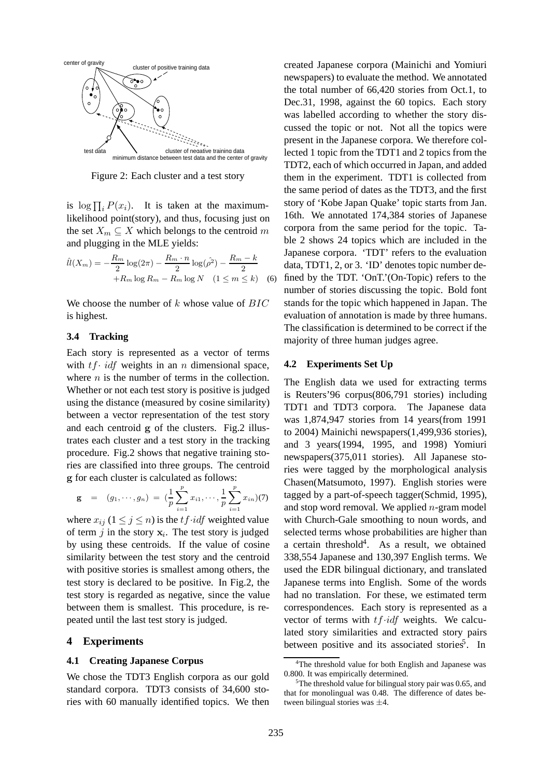

Figure 2: Each cluster and a test story

is  $\log \prod_i P(x_i)$ . It is taken at the maximum-<br>likelihood point(story), and thus focusing just on likelihood point(story), and thus, focusing just on the set  $X_m \subseteq X$  which belongs to the centroid m and plugging in the MLE yields:

$$
\hat{ll}(X_m) = -\frac{R_m}{2}\log(2\pi) - \frac{R_m \cdot n}{2}\log(\hat{\rho}^2) - \frac{R_m - k}{2} + R_m \log R_m - R_m \log N \quad (1 \le m \le k)
$$
 (6)

We choose the number of  $k$  whose value of  $BIC$ is highest.

#### **3.4 Tracking**

Each story is represented as a vector of terms with  $tf$  idf weights in an n dimensional space, where  $n$  is the number of terms in the collection. Whether or not each test story is positive is judged using the distance (measured by cosine similarity) between a vector representation of the test story and each centroid **g** of the clusters. Fig.2 illustrates each cluster and a test story in the tracking procedure. Fig.2 shows that negative training stories are classified into three groups. The centroid **g** for each cluster is calculated as follows:

$$
\mathbf{g} = (g_1, \cdots, g_n) = \left(\frac{1}{p} \sum_{i=1}^p x_{i1}, \cdots, \frac{1}{p} \sum_{i=1}^p x_{in}\right) (7)
$$

where  $x_{ij}$  ( $1 \le j \le n$ ) is the t f · *idf* weighted value of term  $j$  in the story  $\mathbf{x}_i$ . The test story is judged by using these centroids. If the value of cosine similarity between the test story and the centroid with positive stories is smallest among others, the test story is declared to be positive. In Fig.2, the test story is regarded as negative, since the value between them is smallest. This procedure, is repeated until the last test story is judged.

# **4 Experiments**

#### **4.1 Creating Japanese Corpus**

We chose the TDT3 English corpora as our gold standard corpora. TDT3 consists of 34,600 stories with 60 manually identified topics. We then

created Japanese corpora (Mainichi and Yomiuri newspapers) to evaluate the method. We annotated the total number of 66,420 stories from Oct.1, to Dec.31, 1998, against the 60 topics. Each story was labelled according to whether the story discussed the topic or not. Not all the topics were present in the Japanese corpora. We therefore collected 1 topic from the TDT1 and 2 topics from the TDT2, each of which occurred in Japan, and added them in the experiment. TDT1 is collected from the same period of dates as the TDT3, and the first story of 'Kobe Japan Quake' topic starts from Jan. 16th. We annotated 174,384 stories of Japanese corpora from the same period for the topic. Table 2 shows 24 topics which are included in the Japanese corpora. 'TDT' refers to the evaluation data, TDT1, 2, or 3. 'ID' denotes topic number defined by the TDT. 'OnT.'(On-Topic) refers to the number of stories discussing the topic. Bold font stands for the topic which happened in Japan. The evaluation of annotation is made by three humans. The classification is determined to be correct if the majority of three human judges agree.

#### **4.2 Experiments Set Up**

The English data we used for extracting terms is Reuters'96 corpus(806,791 stories) including TDT1 and TDT3 corpora. The Japanese data was 1,874,947 stories from 14 years(from 1991 to 2004) Mainichi newspapers(1,499,936 stories), and 3 years(1994, 1995, and 1998) Yomiuri newspapers(375,011 stories). All Japanese stories were tagged by the morphological analysis Chasen(Matsumoto, 1997). English stories were tagged by a part-of-speech tagger(Schmid, 1995), and stop word removal. We applied  $n$ -gram model with Church-Gale smoothing to noun words, and selected terms whose probabilities are higher than a certain threshold<sup>4</sup>. As a result, we obtained 338,554 Japanese and 130,397 English terms. We used the EDR bilingual dictionary, and translated Japanese terms into English. Some of the words had no translation. For these, we estimated term correspondences. Each story is represented as a vector of terms with  $tf \cdot idf$  weights. We calculated story similarities and extracted story pairs between positive and its associated stories<sup>5</sup>. In

<sup>&</sup>lt;sup>4</sup>The threshold value for both English and Japanese was 0.800. It was empirically determined.

<sup>&</sup>lt;sup>5</sup>The threshold value for bilingual story pair was 0.65, and that for monolingual was 0.48. The difference of dates between bilingual stories was ±4.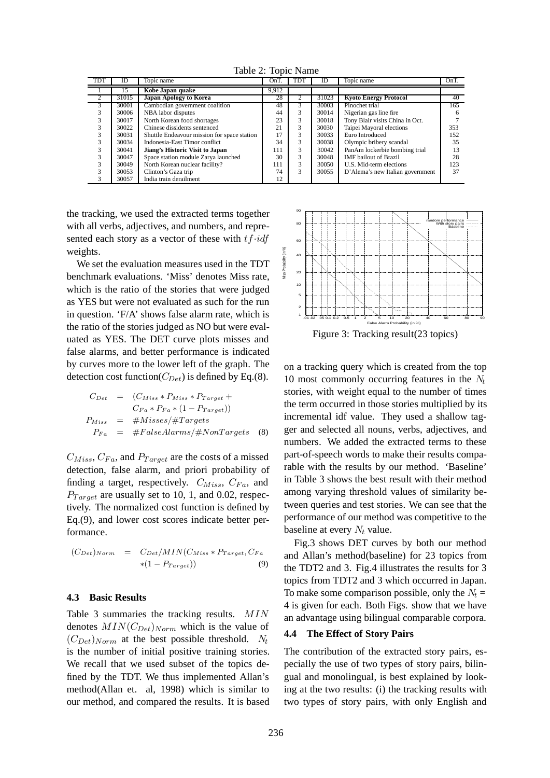Table 2: Topic Name

| TDT            | ID    | Topic name                                  | OnT.  | TDT           | ID    | Topic name                       | OnT. |
|----------------|-------|---------------------------------------------|-------|---------------|-------|----------------------------------|------|
|                | 15    | Kobe Japan quake                            | 9.912 |               |       |                                  |      |
| $\overline{2}$ | 31015 | <b>Japan Apology to Korea</b>               | 28    |               | 31023 | <b>Kyoto Energy Protocol</b>     | 40   |
| 3              | 30001 | Cambodian government coalition              | 48    | 3             | 30003 | Pinochet trial                   | 165  |
|                | 30006 | NBA labor disputes                          | 44    |               | 30014 | Nigerian gas line fire           |      |
|                | 30017 | North Korean food shortages                 | 23    | 3             | 30018 | Tony Blair visits China in Oct.  |      |
|                | 30022 | Chinese dissidents sentenced                | 21    | 3             | 30030 | Taipei Mayoral elections         | 353  |
|                | 30031 | Shuttle Endeavour mission for space station | 17    |               | 30033 | Euro Introduced                  | 152  |
|                | 30034 | Indonesia-East Timor conflict               | 34    | 3             | 30038 | Olympic bribery scandal          | 35   |
|                | 30041 | Jiang's Historic Visit to Japan             | 111   | 3             | 30042 | PanAm lockerbie bombing trial    | 13   |
|                | 30047 | Space station module Zarya launched         | 30    | 3             | 30048 | <b>IMF</b> bailout of Brazil     | 28   |
|                | 30049 | North Korean nuclear facility?              | 111   | 3             | 30050 | U.S. Mid-term elections          | 123  |
|                | 30053 | Clinton's Gaza trip                         | 74    | $\mathcal{L}$ | 30055 | D'Alema's new Italian government | 37   |
|                | 30057 | India train derailment                      | 12    |               |       |                                  |      |

the tracking, we used the extracted terms together with all verbs, adjectives, and numbers, and represented each story as a vector of these with  $tf \cdot idf$ weights.

We set the evaluation measures used in the TDT benchmark evaluations. 'Miss' denotes Miss rate, which is the ratio of the stories that were judged as YES but were not evaluated as such for the run in question. 'F/A' shows false alarm rate, which is the ratio of the stories judged as NO but were evaluated as YES. The DET curve plots misses and false alarms, and better performance is indicated by curves more to the lower left of the graph. The detection cost function( $C_{Det}$ ) is defined by Eq.(8).

$$
C_{Det} = (C_{Miss} * P_{Miss} * P_{Target} +
$$
  
\n
$$
C_{Fa} * P_{Fa} * (1 - P_{Target})
$$
  
\n
$$
P_{Miss} = #Misses / #Targets
$$
  
\n
$$
P_{Fa} = #FalseAlarms / #NonTargets
$$
 (8)

 $C_{Miss}, C_{Fa}$ , and  $P_{Target}$  are the costs of a missed detection, false alarm, and priori probability of finding a target, respectively.  $C_{Miss}$ ,  $C_{Fa}$ , and  $P_{Target}$  are usually set to 10, 1, and 0.02, respectively. The normalized cost function is defined by Eq.(9), and lower cost scores indicate better performance.

$$
(C_{Det})_{Norm} = C_{Det}/MIN(C_{Miss} * P_{Target}, C_{Fa} \times (1 - P_{Target})) \qquad (9)
$$

### **4.3 Basic Results**

Table 3 summaries the tracking results. MIN denotes  $MIN(C_{Det})_{Norm}$  which is the value of  $(C_{Det})_{Norm}$  at the best possible threshold. N<sub>t</sub> is the number of initial positive training stories. We recall that we used subset of the topics defined by the TDT. We thus implemented Allan's method(Allan et. al, 1998) which is similar to our method, and compared the results. It is based



Figure 3: Tracking result(23 topics)

on a tracking query which is created from the top 10 most commonly occurring features in the N*<sup>t</sup>* stories, with weight equal to the number of times the term occurred in those stories multiplied by its incremental idf value. They used a shallow tagger and selected all nouns, verbs, adjectives, and numbers. We added the extracted terms to these part-of-speech words to make their results comparable with the results by our method. 'Baseline' in Table 3 shows the best result with their method among varying threshold values of similarity between queries and test stories. We can see that the performance of our method was competitive to the baseline at every N*<sup>t</sup>* value.

Fig.3 shows DET curves by both our method and Allan's method(baseline) for 23 topics from the TDT2 and 3. Fig.4 illustrates the results for 3 topics from TDT2 and 3 which occurred in Japan. To make some comparison possible, only the  $N_t =$ 4 is given for each. Both Figs. show that we have an advantage using bilingual comparable corpora.

### **4.4 The Effect of Story Pairs**

The contribution of the extracted story pairs, especially the use of two types of story pairs, bilingual and monolingual, is best explained by looking at the two results: (i) the tracking results with two types of story pairs, with only English and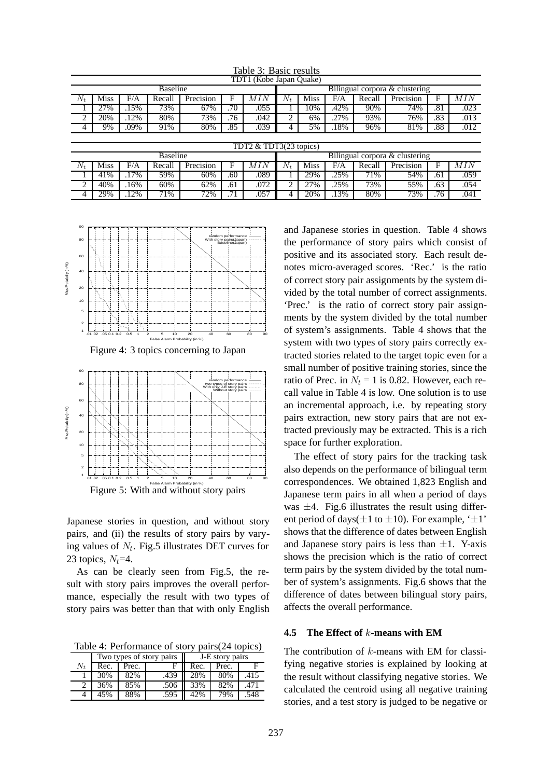|                         | Tavių s. Dasių Iusuits |      |        |           |                                |      |       |      |         |        |           |     |      |
|-------------------------|------------------------|------|--------|-----------|--------------------------------|------|-------|------|---------|--------|-----------|-----|------|
| TDT1 (Kobe Japan Quake) |                        |      |        |           |                                |      |       |      |         |        |           |     |      |
| <b>Baseline</b>         |                        |      |        |           | Bilingual corpora & clustering |      |       |      |         |        |           |     |      |
| $N_t$                   | <b>Miss</b>            | F/A  | Recall | Precision | F                              | MIN  | $N_t$ | Miss | F/A     | Recall | Precision | F   | MIN  |
|                         | 27%                    | .15% | 73%    | 67%       | .70                            | .055 |       | 10%  | .42%    | 90%    | 74%       | .81 | .023 |
| ◠                       | 20%                    | .12% | 80%    | 73%       | .76                            | .042 | ↑     | 6%   | .27%    | 93%    | 76%       | .83 | .013 |
| 4                       | 9%                     | .09% | 91%    | 80%       | .85                            | .039 | 4     | 5%   | $.18\%$ | 96%    | 81%       | .88 | .012 |
|                         |                        |      |        |           |                                |      |       |      |         |        |           |     |      |
|                         | TDT2 & TDT3(23 topics) |      |        |           |                                |      |       |      |         |        |           |     |      |
| <b>Baseline</b>         |                        |      |        |           | Bilingual corpora & clustering |      |       |      |         |        |           |     |      |
| $N_t$                   | <b>Miss</b>            | F/A  | Recall | Precision | F                              | MIN  | $N_t$ | Miss | F/A     | Recall | Precision | F   | MIN  |
|                         | 41%                    | .17% | 59%    | 60%       | .60                            | .089 |       | 29%  | .25%    | 71%    | 54%       | .61 | .059 |
| $\overline{2}$          | 40%                    | .16% | 60%    | 62%       | .61                            | .072 |       | 27%  | .25%    | 73%    | 55%       | .63 | .054 |
| 4                       | 29%                    | 12%  | 71%    | 72%       | .71                            | .057 | 4     | 20%  | 13%     | 80%    | 73%       | .76 | .041 |

Table 3: Basic results



Figure 4: 3 topics concerning to Japan



Japanese stories in question, and without story pairs, and (ii) the results of story pairs by varying values of N*t*. Fig.5 illustrates DET curves for 23 topics,  $N_t$ =4.

As can be clearly seen from Fig.5, the result with story pairs improves the overall performance, especially the result with two types of story pairs was better than that with only English

Table 4: Performance of story pairs(24 topics)

|                 |      |       | Two types of story pairs | J-E story pairs |       |      |  |  |
|-----------------|------|-------|--------------------------|-----------------|-------|------|--|--|
| $N_{\rm \star}$ | Rec. | Prec. |                          | Rec.            | Prec. |      |  |  |
|                 | 30%  | 82%   | .439                     | 28%             | 80%   | .415 |  |  |
|                 | 36%  | 85%   | .506                     | 33%             | 82%   | .471 |  |  |
|                 | 45%  | 88%   | .595                     | 42%             | 79%   | .548 |  |  |

and Japanese stories in question. Table 4 shows the performance of story pairs which consist of positive and its associated story. Each result denotes micro-averaged scores. 'Rec.' is the ratio of correct story pair assignments by the system divided by the total number of correct assignments. 'Prec.' is the ratio of correct story pair assignments by the system divided by the total number of system's assignments. Table 4 shows that the system with two types of story pairs correctly extracted stories related to the target topic even for a small number of positive training stories, since the ratio of Prec. in  $N_t = 1$  is 0.82. However, each recall value in Table 4 is low. One solution is to use an incremental approach, i.e. by repeating story pairs extraction, new story pairs that are not extracted previously may be extracted. This is a rich space for further exploration.

The effect of story pairs for the tracking task also depends on the performance of bilingual term correspondences. We obtained 1,823 English and Japanese term pairs in all when a period of days was  $\pm 4$ . Fig.6 illustrates the result using different period of days( $\pm 1$  to  $\pm 10$ ). For example, ' $\pm 1$ ' shows that the difference of dates between English and Japanese story pairs is less than  $\pm 1$ . Y-axis shows the precision which is the ratio of correct term pairs by the system divided by the total number of system's assignments. Fig.6 shows that the difference of dates between bilingual story pairs, affects the overall performance.

## **4.5 The Effect of** k**-means with EM**

The contribution of  $k$ -means with EM for classifying negative stories is explained by looking at the result without classifying negative stories. We calculated the centroid using all negative training stories, and a test story is judged to be negative or